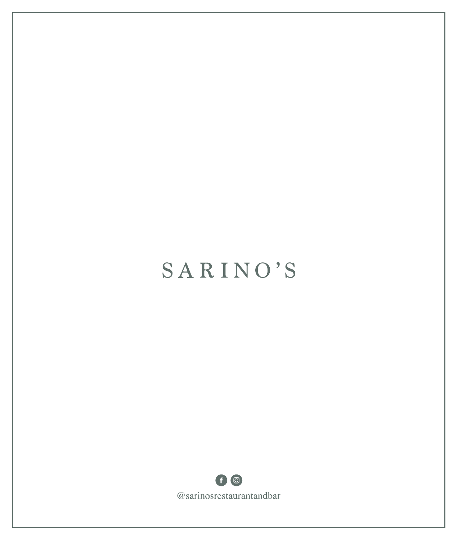## **SARINO'S**

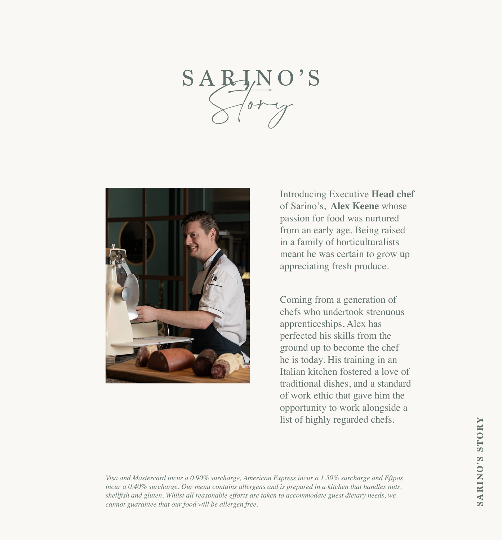## $SABJ$



Introducing Executive **Head chef**  of Sarino's, **Alex Keene** whose passion for food was nurtured from an early age. Being raised in a family of horticulturalists meant he was certain to grow up appreciating fresh produce.

Coming from a generation of chefs who undertook strenuous apprenticeships, Alex has perfected his skills from the ground up to become the chef he is today. His training in an Italian kitchen fostered a love of traditional dishes, and a standard of work ethic that gave him the opportunity to work alongside a list of highly regarded chefs.

*Visa and Mastercard incur a 0.90% surcharge, American Express incur a 1.50% surcharge and Eftpos incur a 0.40% surcharge. Our menu contains allergens and is prepared in a kitchen that handles nuts, shellfish and gluten. Whilst all reasonable efforts are taken to accommodate guest dietary needs, we cannot guarantee that our food will be allergen free.*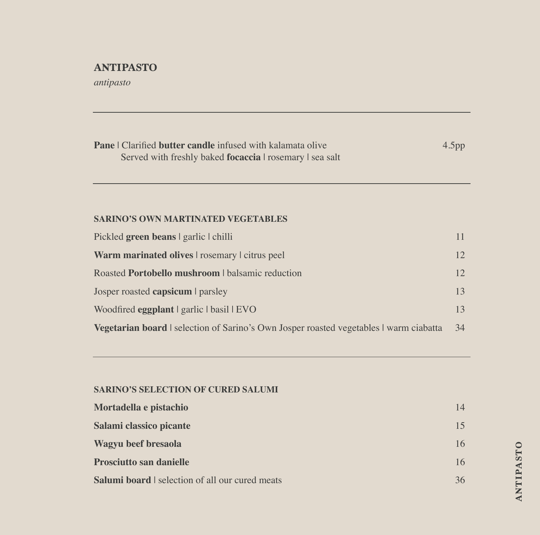## **ANTIPASTO**

*antipasto*

| <b>Pane</b>   Clarified <b>butter candle</b> infused with kalamata olive<br>Served with freshly baked <b>focaccia</b> rosemary I sea salt | 4.5 <sub>pp</sub> |
|-------------------------------------------------------------------------------------------------------------------------------------------|-------------------|
|                                                                                                                                           |                   |
| <b>SARINO'S OWN MARTINATED VEGETABLES</b>                                                                                                 |                   |
| Pickled green beans   garlic   chilli                                                                                                     | 11                |
| <b>Warm marinated olives</b> rosemary citrus peel                                                                                         | 12                |
| Roasted <b>Portobello mushroom</b> I balsamic reduction                                                                                   | 12                |
| Josper roasted capsicum I parsley                                                                                                         | 13                |
| Woodfired eggplant   garlic   basil   EVO                                                                                                 | 13                |
| Vegetarian board   selection of Sarino's Own Josper roasted vegetables   warm ciabatta                                                    | 34                |

#### **SARINO'S SELECTION OF CURED SALUMI**

| Mortadella e pistachio                               | 14 |
|------------------------------------------------------|----|
| Salami classico picante                              | 15 |
| Wagyu beef bresaola                                  | 16 |
| <b>Prosciutto san danielle</b>                       | 16 |
| <b>Salumi board</b> selection of all our cured meats | 36 |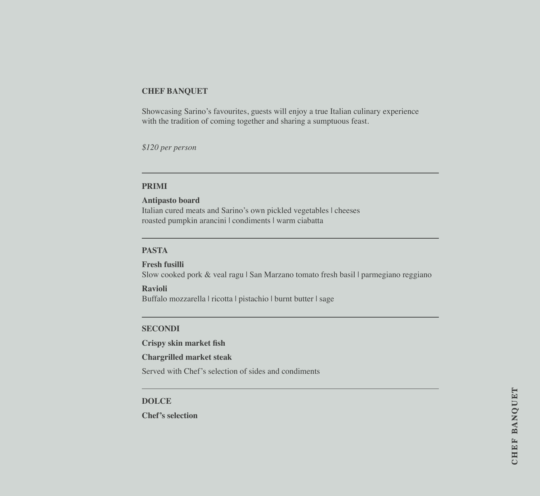#### **CHEF BANQUET**

Showcasing Sarino's favourites, guests will enjoy a true Italian culinary experience with the tradition of coming together and sharing a sumptuous feast.

*\$120 per person*

#### **PRIMI**

#### **Antipasto board**

Italian cured meats and Sarino's own pickled vegetables | cheeses roasted pumpkin arancini | condiments | warm ciabatta

#### **PASTA**

**Fresh fusilli** Slow cooked pork & veal ragu | San Marzano tomato fresh basil | parmegiano reggiano

**Ravioli** Buffalo mozzarella | ricotta | pistachio | burnt butter | sage

#### **SECONDI**

**Crispy skin market fish**

#### **Chargrilled market steak**

Served with Chef's selection of sides and condiments

#### **DOLCE**

**Chef's selection**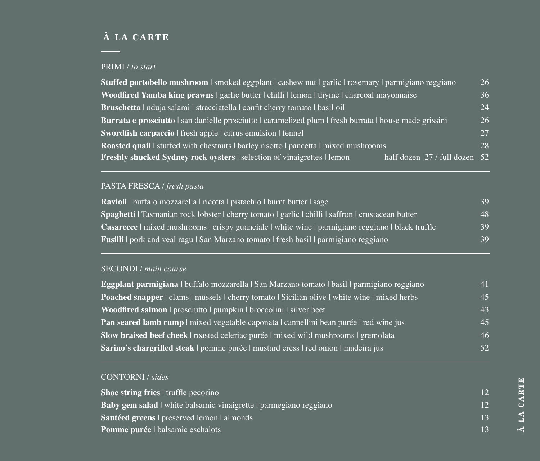## **À LA CARTE**

### PRIMI / *to start*

| Stuffed portobello mushroom   smoked eggplant   cashew nut   garlic   rosemary   parmigiano reggiano         | 26   |
|--------------------------------------------------------------------------------------------------------------|------|
| Woodfired Yamba king prawns   garlic butter   chilli   lemon   thyme   charcoal mayonnaise                   | 36   |
| Bruschetta   nduja salami   stracciatella   confit cherry tomato   basil oil                                 | 24   |
| Burrata e prosciutto   san danielle prosciutto   caramelized plum   fresh burrata   house made grissini      | 26   |
| Swordfish carpaccio I fresh apple I citrus emulsion I fennel                                                 | 27   |
| <b>Roasted quail</b> stuffed with chestnuts I barley risotto I pancetta I mixed mushrooms                    | 28   |
| <b>Freshly shucked Sydney rock oysters</b> I selection of vinaigrettes I lemon<br>half dozen 27 / full dozen | - 52 |

## PASTA FRESCA / *fresh pasta*

| Ravioli I buffalo mozzarella I ricotta I pistachio I burnt butter I sage                                 | 39 |
|----------------------------------------------------------------------------------------------------------|----|
| Spaghetti   Tasmanian rock lobster   cherry tomato   garlic   chilli   saffron   crustacean butter       | 48 |
| <b>Casarecce</b> I mixed mushrooms I crispy guanciale I white wine I parmigiano reggiano I black truffle | 39 |
| <b>Fusilli</b> pork and veal ragu San Marzano tomato fresh basil parmigiano reggiano                     | 39 |

## SECONDI / *main course*

| Eggplant parmigiana I buffalo mozzarella   San Marzano tomato   basil   parmigiano reggiano          | 41 |
|------------------------------------------------------------------------------------------------------|----|
| <b>Poached snapper</b>   clams   mussels   cherry tomato   Sicilian olive   white wine   mixed herbs | 45 |
| Woodfired salmon   prosciutto   pumpkin   broccolini   silver beet                                   | 43 |
| <b>Pan seared lamb rump</b> mixed vegetable caponata cannellini bean purée red wine jus              | 45 |
| Slow braised beef cheek   roasted celeriac purée   mixed wild mushrooms   gremolata                  | 46 |
| Sarino's chargrilled steak   pomme purée   mustard cress   red onion   madeira jus                   | 52 |

## CONTORNI / *sides*

| Shoe string fries I truffle pecorino                                 |    |
|----------------------------------------------------------------------|----|
| <b>Baby gem salad</b> white balsamic vinaigrette parmegiano reggiano |    |
| Sautéed greens preserved lemon almonds                               | 13 |
| <b>Pomme purée</b>   balsamic eschalots                              |    |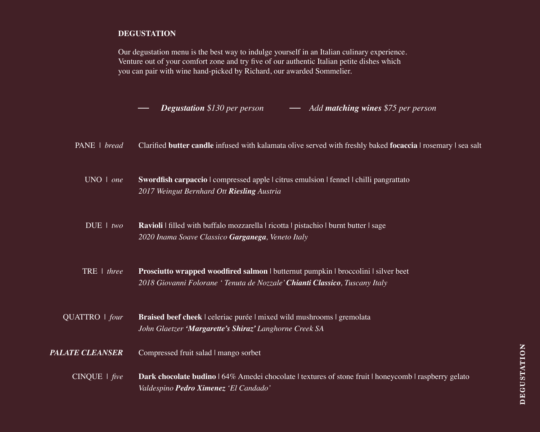#### **DEGUSTATION**

Our degustation menu is the best way to indulge yourself in an Italian culinary experience. Venture out of your comfort zone and try five of our authentic Italian petite dishes which you can pair with wine hand-picked by Richard, our awarded Sommelier.

*Degustation \$130 per person Add matching wines \$75 per person*

Clarified **butter candle** infused with kalamata olive served with freshly baked **focaccia** | rosemary | sea salt PANE | *bread*

**Swordfish carpaccio** | compressed apple | citrus emulsion | fennel | chilli pangrattato *2017 Weingut Bernhard Ott Riesling Austria* UNO | *one*

**Ravioli** | filled with buffalo mozzarella | ricotta | pistachio | burnt butter | sage *2020 Inama Soave Classico Garganega, Veneto Italy* DUE | *two*

**Prosciutto wrapped woodfired salmon** | butternut pumpkin | broccolini | silver beet *2018 Giovanni Folorane ' Tenuta de Nozzale' Chianti Classico, Tuscany Italy* TRE | *three*

**Braised beef cheek** | celeriac purée | mixed wild mushrooms | gremolata *John Glaetzer 'Margarette's Shiraz' Langhorne Creek SA* QUATTRO | *four*

#### Compressed fruit salad | mango sorbet *PALATE CLEANSER*

**Dark chocolate budino** | 64% Amedei chocolate | textures of stone fruit | honeycomb | raspberry gelato *Valdespino Pedro Ximenez 'El Candado'* CINQUE | *five*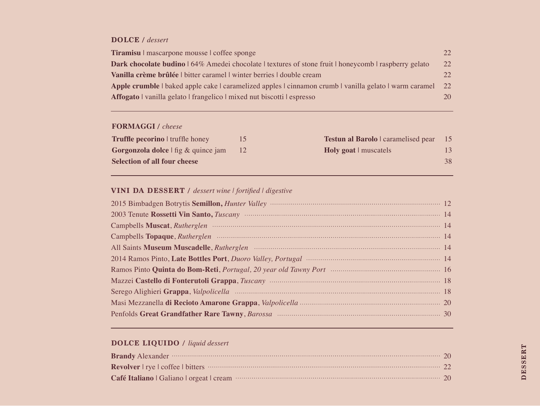#### **DOLCE /** *dessert*

| <b>Tiramisu</b> mascarpone mousse coffee sponge                                                              | 22. |
|--------------------------------------------------------------------------------------------------------------|-----|
| <b>Dark chocolate budino</b>   64% Amedei chocolate   textures of stone fruit   honeycomb   raspberry gelato | 22  |
| Vanilla crème brûlée   bitter caramel   winter berries   double cream                                        | 22. |
| Apple crumble   baked apple cake   caramelized apples   cinnamon crumb   vanilla gelato   warm caramel       | 22  |
| Affogato   vanilla gelato   frangelico   mixed nut biscotti   espresso                                       | 20  |

### **FORMAGGI /** *cheese*

| <b>Truffle pecorino</b> I truffle honey    | <b>Testun al Barolo</b>   caramelised pear 15 |    |
|--------------------------------------------|-----------------------------------------------|----|
| <b>Gorgonzola dolce</b> I fig & quince jam | <b>Holy goat</b> muscatels                    |    |
| <b>Selection of all four cheese</b>        |                                               | 38 |

## **VINI DA DESSERT /** *dessert wine | fortified | digestive*

| 2003 Tenute Rossetti Vin Santo, Tuscany manufacture and the contract of the 14 |  |
|--------------------------------------------------------------------------------|--|
|                                                                                |  |
|                                                                                |  |
| All Saints Museum Muscadelle, Rutherglen manufactured and all Saints Museum 14 |  |
|                                                                                |  |
|                                                                                |  |
|                                                                                |  |
|                                                                                |  |
|                                                                                |  |
|                                                                                |  |

## **DOLCE LIQUIDO /** *liquid dessert*

| Brandy Alexander 20 |  |
|---------------------|--|
|                     |  |
|                     |  |